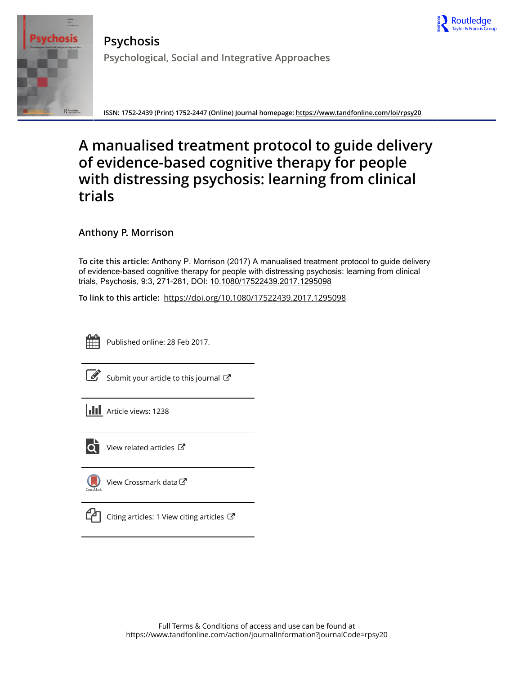



**Psychosis Psychological, Social and Integrative Approaches**

**ISSN: 1752-2439 (Print) 1752-2447 (Online) Journal homepage:<https://www.tandfonline.com/loi/rpsy20>**

# **A manualised treatment protocol to guide delivery of evidence-based cognitive therapy for people with distressing psychosis: learning from clinical trials**

**Anthony P. Morrison**

**To cite this article:** Anthony P. Morrison (2017) A manualised treatment protocol to guide delivery of evidence-based cognitive therapy for people with distressing psychosis: learning from clinical trials, Psychosis, 9:3, 271-281, DOI: [10.1080/17522439.2017.1295098](https://www.tandfonline.com/action/showCitFormats?doi=10.1080/17522439.2017.1295098)

**To link to this article:** <https://doi.org/10.1080/17522439.2017.1295098>



Published online: 28 Feb 2017.

[Submit your article to this journal](https://www.tandfonline.com/action/authorSubmission?journalCode=rpsy20&show=instructions)  $\mathbb{Z}$ 

**III** Article views: 1238



 $\overline{\text{O}}$  [View related articles](https://www.tandfonline.com/doi/mlt/10.1080/17522439.2017.1295098)  $\mathbb{C}^{\bullet}$ 

[View Crossmark data](http://crossmark.crossref.org/dialog/?doi=10.1080/17522439.2017.1295098&domain=pdf&date_stamp=2017-02-28)



[Citing articles: 1 View citing articles](https://www.tandfonline.com/doi/citedby/10.1080/17522439.2017.1295098#tabModule)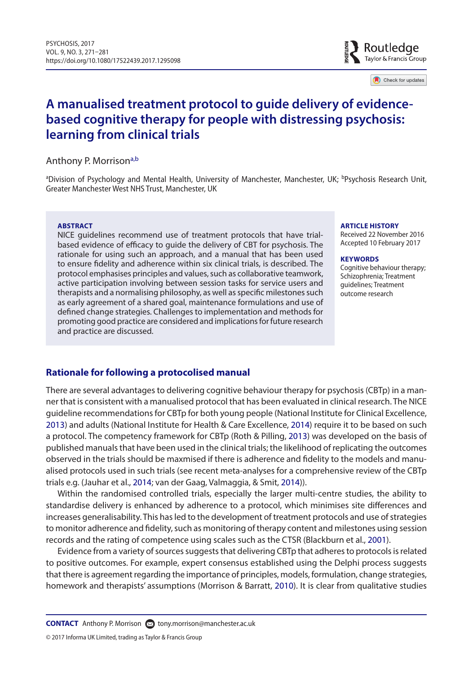

Check for updates

## **A manualised treatment protocol to guide delivery of evidencebased cognitive therapy for people with distressing psychosis: learning from clinical trials**

#### Anthony P. Morrison<sup>a[,b](#page-1-1)</sup>

<span id="page-1-1"></span><span id="page-1-0"></span><sup>a</sup>Division of Psychology and Mental Health, University of Manchester, Manchester, UK; <sup>b</sup>Psychosis Research Unit, Greater Manchester West NHS Trust, Manchester, UK

#### **ABSTRACT**

NICE guidelines recommend use of treatment protocols that have trialbased evidence of efficacy to guide the delivery of CBT for psychosis. The rationale for using such an approach, and a manual that has been used to ensure fidelity and adherence within six clinical trials, is described. The protocol emphasises principles and values, such as collaborative teamwork, active participation involving between session tasks for service users and therapists and a normalising philosophy, as well as specific milestones such as early agreement of a shared goal, maintenance formulations and use of defined change strategies. Challenges to implementation and methods for promoting good practice are considered and implications for future research and practice are discussed.

#### **ARTICLE HISTORY**

Received 22 November 2016 Accepted 10 February 2017

#### **KEYWORDS**

<span id="page-1-8"></span><span id="page-1-7"></span><span id="page-1-5"></span><span id="page-1-3"></span><span id="page-1-2"></span>Cognitive behaviour therapy: Schizophrenia; Treatment guidelines; Treatment outcome research

## **Rationale for following a protocolised manual**

<span id="page-1-6"></span>There are several advantages to delivering cognitive behaviour therapy for psychosis (CBTp) in a manner that is consistent with a manualised protocol that has been evaluated in clinical research. The NICE guideline recommendations for CBTp for both young people (National Institute for Clinical Excellence, [2013](#page-11-0)) and adults (National Institute for Health & Care Excellence, [2014](#page-11-1)) require it to be based on such a protocol. The competency framework for CBTp (Roth & Pilling, [2013\)](#page-11-2) was developed on the basis of published manuals that have been used in the clinical trials; the likelihood of replicating the outcomes observed in the trials should be maxmised if there is adherence and fidelity to the models and manualised protocols used in such trials (see recent meta-analyses for a comprehensive review of the CBTp trials e.g. (Jauhar et al., [2014](#page-10-0); van der Gaag, Valmaggia, & Smit, [2014\)](#page-10-1)).

<span id="page-1-4"></span>Within the randomised controlled trials, especially the larger multi-centre studies, the ability to standardise delivery is enhanced by adherence to a protocol, which minimises site differences and increases generalisability. This has led to the development of treatment protocols and use of strategies to monitor adherence and fidelity, such as monitoring of therapy content and milestones using session records and the rating of competence using scales such as the CTSR (Blackburn et al., [2001](#page-10-2)).

Evidence from a variety of sources suggests that delivering CBTp that adheres to protocols is related to positive outcomes. For example, expert consensus established using the Delphi process suggests that there is agreement regarding the importance of principles, models, formulation, change strategies, homework and therapists' assumptions (Morrison & Barratt, [2010](#page-10-3)). It is clear from qualitative studies

**CONTACT** Anthony P. Morrison and [tony.morrison@manchester.ac.uk](mailto: tony.morrison@manchester.ac.uk)

© 2017 Informa UK Limited, trading as Taylor & Francis Group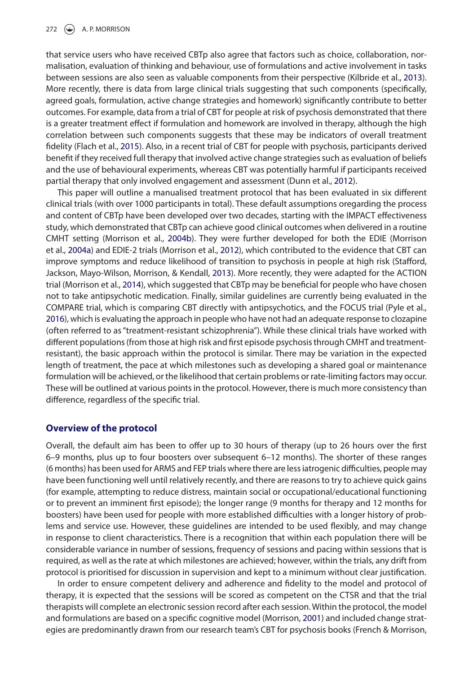<span id="page-2-2"></span>that service users who have received CBTp also agree that factors such as choice, collaboration, normalisation, evaluation of thinking and behaviour, use of formulations and active involvement in tasks between sessions are also seen as valuable components from their perspective (Kilbride et al., [2013\)](#page-10-4). More recently, there is data from large clinical trials suggesting that such components (specifically, agreed goals, formulation, active change strategies and homework) significantly contribute to better outcomes. For example, data from a trial of CBT for people at risk of psychosis demonstrated that there is a greater treatment effect if formulation and homework are involved in therapy, although the high correlation between such components suggests that these may be indicators of overall treatment fidelity (Flach et al., [2015](#page-10-5)). Also, in a recent trial of CBT for people with psychosis, participants derived benefit if they received full therapy that involved active change strategies such as evaluation of beliefs and the use of behavioural experiments, whereas CBT was potentially harmful if participants received partial therapy that only involved engagement and assessment (Dunn et al., [2012](#page-10-6)).

<span id="page-2-9"></span><span id="page-2-7"></span><span id="page-2-6"></span><span id="page-2-5"></span><span id="page-2-4"></span><span id="page-2-1"></span><span id="page-2-0"></span>This paper will outline a manualised treatment protocol that has been evaluated in six different clinical trials (with over 1000 participants in total). These default assumptions oregarding the process and content of CBTp have been developed over two decades, starting with the IMPACT effectiveness study, which demonstrated that CBTp can achieve good clinical outcomes when delivered in a routine CMHT setting (Morrison et al., [2004b\)](#page-11-3). They were further developed for both the EDIE (Morrison et al., [2004a\)](#page-10-7) and EDIE-2 trials (Morrison et al., [2012](#page-10-8)), which contributed to the evidence that CBT can improve symptoms and reduce likelihood of transition to psychosis in people at high risk (Stafford, Jackson, Mayo-Wilson, Morrison, & Kendall, [2013](#page-11-4)). More recently, they were adapted for the ACTION trial (Morrison et al., [2014](#page-11-5)), which suggested that CBTp may be beneficial for people who have chosen not to take antipsychotic medication. Finally, similar guidelines are currently being evaluated in the COMPARE trial, which is comparing CBT directly with antipsychotics, and the FOCUS trial (Pyle et al., [2016](#page-11-6)), which is evaluating the approach in people who have not had an adequate response to clozapine (often referred to as "treatment-resistant schizophrenia"). While these clinical trials have worked with different populations (from those at high risk and first episode psychosis through CMHT and treatmentresistant), the basic approach within the protocol is similar. There may be variation in the expected length of treatment, the pace at which milestones such as developing a shared goal or maintenance formulation will be achieved, or the likelihood that certain problems or rate-limiting factors may occur. These will be outlined at various points in the protocol. However, there is much more consistency than difference, regardless of the specific trial.

#### <span id="page-2-8"></span>**Overview of the protocol**

Overall, the default aim has been to offer up to 30 hours of therapy (up to 26 hours over the first 6–9 months, plus up to four boosters over subsequent 6–12 months). The shorter of these ranges (6 months) has been used for ARMS and FEP trials where there are less iatrogenic difficulties, people may have been functioning well until relatively recently, and there are reasons to try to achieve quick gains (for example, attempting to reduce distress, maintain social or occupational/educational functioning or to prevent an imminent first episode); the longer range (9 months for therapy and 12 months for boosters) have been used for people with more established difficulties with a longer history of problems and service use. However, these guidelines are intended to be used flexibly, and may change in response to client characteristics. There is a recognition that within each population there will be considerable variance in number of sessions, frequency of sessions and pacing within sessions that is required, as well as the rate at which milestones are achieved; however, within the trials, any drift from protocol is prioritised for discussion in supervision and kept to a minimum without clear justification.

<span id="page-2-3"></span>In order to ensure competent delivery and adherence and fidelity to the model and protocol of therapy, it is expected that the sessions will be scored as competent on the CTSR and that the trial therapists will complete an electronic session record after each session. Within the protocol, the model and formulations are based on a specific cognitive model (Morrison, [2001](#page-10-9)) and included change strategies are predominantly drawn from our research team's CBT for psychosis books (French & Morrison,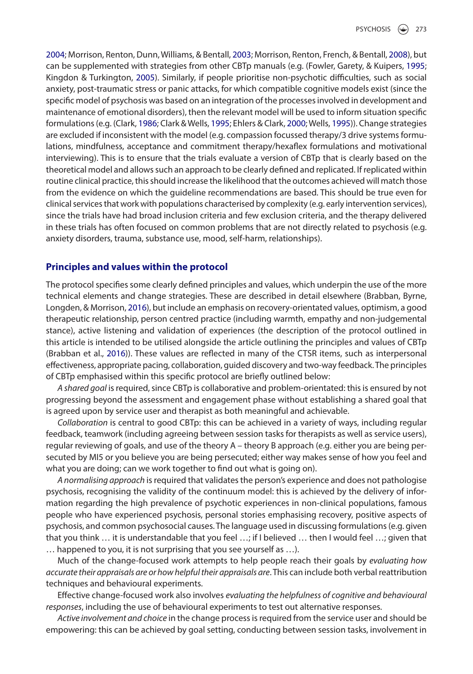<span id="page-3-9"></span><span id="page-3-8"></span><span id="page-3-7"></span><span id="page-3-6"></span><span id="page-3-5"></span><span id="page-3-4"></span><span id="page-3-3"></span><span id="page-3-2"></span><span id="page-3-1"></span>[2004](#page-10-10); Morrison, Renton, Dunn, Williams, & Bentall, [2003](#page-10-11); Morrison, Renton, French, & Bentall, [2008](#page-10-12)), but can be supplemented with strategies from other CBTp manuals (e.g. (Fowler, Garety, & Kuipers, [1995](#page-10-13); Kingdon & Turkington, [2005](#page-10-14)). Similarly, if people prioritise non-psychotic difficulties, such as social anxiety, post-traumatic stress or panic attacks, for which compatible cognitive models exist (since the specific model of psychosis was based on an integration of the processes involved in development and maintenance of emotional disorders), then the relevant model will be used to inform situation specific formulations (e.g. (Clark, [1986;](#page-10-15) Clark & Wells, [1995](#page-10-16); Ehlers & Clark, [2000;](#page-10-17) Wells, [1995\)](#page-11-7)). Change strategies are excluded if inconsistent with the model (e.g. compassion focussed therapy/3 drive systems formulations, mindfulness, acceptance and commitment therapy/hexaflex formulations and motivational interviewing). This is to ensure that the trials evaluate a version of CBTp that is clearly based on the theoretical model and allows such an approach to be clearly defined and replicated. If replicated within routine clinical practice, this should increase the likelihood that the outcomes achieved will match those from the evidence on which the guideline recommendations are based. This should be true even for clinical services that work with populations characterised by complexity (e.g. early intervention services), since the trials have had broad inclusion criteria and few exclusion criteria, and the therapy delivered in these trials has often focused on common problems that are not directly related to psychosis (e.g. anxiety disorders, trauma, substance use, mood, self-harm, relationships).

### **Principles and values within the protocol**

<span id="page-3-0"></span>The protocol specifies some clearly defined principles and values, which underpin the use of the more technical elements and change strategies. These are described in detail elsewhere (Brabban, Byrne, Longden, & Morrison, [2016\)](#page-10-18), but include an emphasis on recovery-orientated values, optimism, a good therapeutic relationship, person centred practice (including warmth, empathy and non-judgemental stance), active listening and validation of experiences (the description of the protocol outlined in this article is intended to be utilised alongside the article outlining the principles and values of CBTp (Brabban et al., [2016\)](#page-10-18)). These values are reflected in many of the CTSR items, such as interpersonal effectiveness, appropriate pacing, collaboration, guided discovery and two-way feedback. The principles of CBTp emphasised within this specific protocol are briefly outlined below:

*A shared goal* is required, since CBTp is collaborative and problem-orientated: this is ensured by not progressing beyond the assessment and engagement phase without establishing a shared goal that is agreed upon by service user and therapist as both meaningful and achievable.

*Collaboration* is central to good CBTp: this can be achieved in a variety of ways, including regular feedback, teamwork (including agreeing between session tasks for therapists as well as service users), regular reviewing of goals, and use of the theory A – theory B approach (e.g. either you are being persecuted by MI5 or you believe you are being persecuted; either way makes sense of how you feel and what you are doing; can we work together to find out what is going on).

*A normalising approach* is required that validates the person's experience and does not pathologise psychosis, recognising the validity of the continuum model: this is achieved by the delivery of information regarding the high prevalence of psychotic experiences in non-clinical populations, famous people who have experienced psychosis, personal stories emphasising recovery, positive aspects of psychosis, and common psychosocial causes. The language used in discussing formulations (e.g. given that you think … it is understandable that you feel …; if I believed … then I would feel …; given that … happened to you, it is not surprising that you see yourself as …).

Much of the change-focused work attempts to help people reach their goals by *evaluating how accurate their appraisals are or how helpful their appraisals are*. This can include both verbal reattribution techniques and behavioural experiments.

Effective change-focused work also involves *evaluating the helpfulness of cognitive and behavioural responses*, including the use of behavioural experiments to test out alternative responses.

*Active involvement and choice* in the change process is required from the service user and should be empowering: this can be achieved by goal setting, conducting between session tasks, involvement in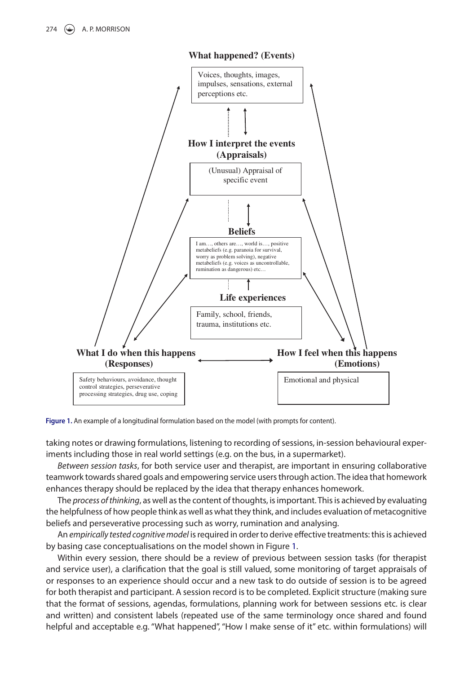

**What happened? (Events)**

<span id="page-4-0"></span>Figure 1. An example of a longitudinal formulation based on the model (with prompts for content).

taking notes or drawing formulations, listening to recording of sessions, in-session behavioural experiments including those in real world settings (e.g. on the bus, in a supermarket).

*Between session tasks*, for both service user and therapist, are important in ensuring collaborative teamwork towards shared goals and empowering service users through action. The idea that homework enhances therapy should be replaced by the idea that therapy enhances homework.

The *process of thinking*, as well as the content of thoughts, is important. This is achieved by evaluating the helpfulness of how people think as well as what they think, and includes evaluation of metacognitive beliefs and perseverative processing such as worry, rumination and analysing.

An *empirically tested cognitive model* is required in order to derive effective treatments: this is achieved by basing case conceptualisations on the model shown in Figure [1](#page-4-0).

Within every session, there should be a review of previous between session tasks (for therapist and service user), a clarification that the goal is still valued, some monitoring of target appraisals of or responses to an experience should occur and a new task to do outside of session is to be agreed for both therapist and participant. A session record is to be completed. Explicit structure (making sure that the format of sessions, agendas, formulations, planning work for between sessions etc. is clear and written) and consistent labels (repeated use of the same terminology once shared and found helpful and acceptable e.g. "What happened", "How I make sense of it" etc. within formulations) will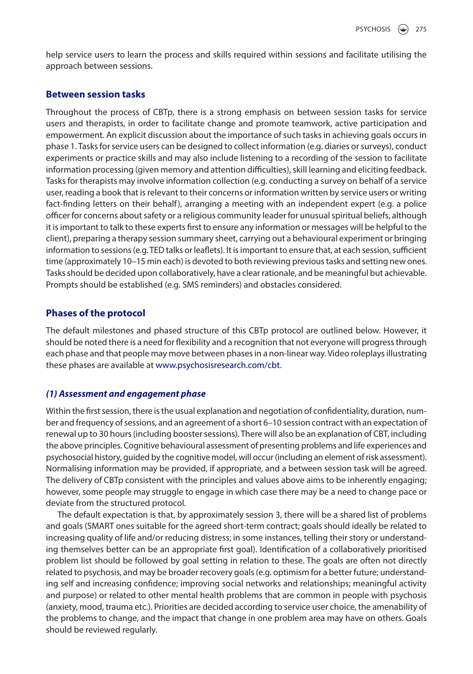help service users to learn the process and skills required within sessions and facilitate utilising the approach between sessions.

## **Between session tasks**

Throughout the process of CBTp, there is a strong emphasis on between session tasks for service users and therapists, in order to facilitate change and promote teamwork, active participation and empowerment. An explicit discussion about the importance of such tasks in achieving goals occurs in phase 1. Tasks for service users can be designed to collect information (e.g. diaries or surveys), conduct experiments or practice skills and may also include listening to a recording of the session to facilitate information processing (given memory and attention difficulties), skill learning and eliciting feedback. Tasks for therapists may involve information collection (e.g. conducting a survey on behalf of a service user, reading a book that is relevant to their concerns or information written by service users or writing fact-finding letters on their behalf), arranging a meeting with an independent expert (e.g. a police officer for concerns about safety or a religious community leader for unusual spiritual beliefs, although it is important to talk to these experts first to ensure any information or messages will be helpful to the client), preparing a therapy session summary sheet, carrying out a behavioural experiment or bringing information to sessions (e.g. TED talks or leaflets). It is important to ensure that, at each session, sufficient time (approximately 10–15 min each) is devoted to both reviewing previous tasks and setting new ones. Tasks should be decided upon collaboratively, have a clear rationale, and be meaningful but achievable. Prompts should be established (e.g. SMS reminders) and obstacles considered.

## **Phases of the protocol**

The default milestones and phased structure of this CBTp protocol are outlined below. However, it should be noted there is a need for flexibility and a recognition that not everyone will progress through each phase and that people may move between phases in a non-linear way. Video roleplays illustrating these phases are available at [www.psychosisresearch.com/cbt.](http://www.psychosisresearch.com/cbt)

## *(1) Assessment and engagement phase*

Within the first session, there is the usual explanation and negotiation of confidentiality, duration, number and frequency of sessions, and an agreement of a short 6–10 session contract with an expectation of renewal up to 30 hours (including booster sessions). There will also be an explanation of CBT, including the above principles. Cognitive behavioural assessment of presenting problems and life experiences and psychosocial history, guided by the cognitive model, will occur (including an element of risk assessment). Normalising information may be provided, if appropriate, and a between session task will be agreed. The delivery of CBTp consistent with the principles and values above aims to be inherently engaging; however, some people may struggle to engage in which case there may be a need to change pace or deviate from the structured protocol.

The default expectation is that, by approximately session 3, there will be a shared list of problems and goals (SMART ones suitable for the agreed short-term contract; goals should ideally be related to increasing quality of life and/or reducing distress; in some instances, telling their story or understanding themselves better can be an appropriate first goal). Identification of a collaboratively prioritised problem list should be followed by goal setting in relation to these. The goals are often not directly related to psychosis, and may be broader recovery goals (e.g. optimism for a better future; understanding self and increasing confidence; improving social networks and relationships; meaningful activity and purpose) or related to other mental health problems that are common in people with psychosis (anxiety, mood, trauma etc.). Priorities are decided according to service user choice, the amenability of the problems to change, and the impact that change in one problem area may have on others. Goals should be reviewed regularly.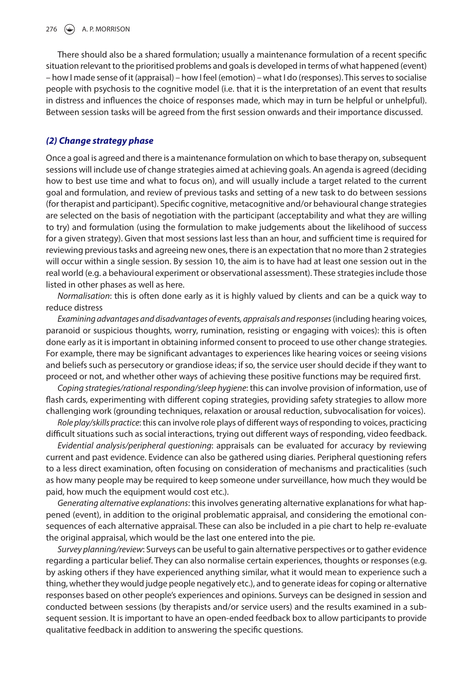There should also be a shared formulation; usually a maintenance formulation of a recent specific situation relevant to the prioritised problems and goals is developed in terms of what happened (event) – how I made sense of it (appraisal) – how I feel (emotion) – what I do (responses). This serves to socialise people with psychosis to the cognitive model (i.e. that it is the interpretation of an event that results in distress and influences the choice of responses made, which may in turn be helpful or unhelpful). Between session tasks will be agreed from the first session onwards and their importance discussed.

## *(2) Change strategy phase*

Once a goal is agreed and there is a maintenance formulation on which to base therapy on, subsequent sessions will include use of change strategies aimed at achieving goals. An agenda is agreed (deciding how to best use time and what to focus on), and will usually include a target related to the current goal and formulation, and review of previous tasks and setting of a new task to do between sessions (for therapist and participant). Specific cognitive, metacognitive and/or behavioural change strategies are selected on the basis of negotiation with the participant (acceptability and what they are willing to try) and formulation (using the formulation to make judgements about the likelihood of success for a given strategy). Given that most sessions last less than an hour, and sufficient time is required for reviewing previous tasks and agreeing new ones, there is an expectation that no more than 2 strategies will occur within a single session. By session 10, the aim is to have had at least one session out in the real world (e.g. a behavioural experiment or observational assessment). These strategies include those listed in other phases as well as here.

*Normalisation*: this is often done early as it is highly valued by clients and can be a quick way to reduce distress

*Examining advantages and disadvantages of events, appraisals and responses* (including hearing voices, paranoid or suspicious thoughts, worry, rumination, resisting or engaging with voices): this is often done early as it is important in obtaining informed consent to proceed to use other change strategies. For example, there may be significant advantages to experiences like hearing voices or seeing visions and beliefs such as persecutory or grandiose ideas; if so, the service user should decide if they want to proceed or not, and whether other ways of achieving these positive functions may be required first.

*Coping strategies/rational responding/sleep hygiene*: this can involve provision of information, use of flash cards, experimenting with different coping strategies, providing safety strategies to allow more challenging work (grounding techniques, relaxation or arousal reduction, subvocalisation for voices).

*Role play/skills practice*: this can involve role plays of different ways of responding to voices, practicing difficult situations such as social interactions, trying out different ways of responding, video feedback.

*Evidential analysis/peripheral questioning*: appraisals can be evaluated for accuracy by reviewing current and past evidence. Evidence can also be gathered using diaries. Peripheral questioning refers to a less direct examination, often focusing on consideration of mechanisms and practicalities (such as how many people may be required to keep someone under surveillance, how much they would be paid, how much the equipment would cost etc.).

*Generating alternative explanations*: this involves generating alternative explanations for what happened (event), in addition to the original problematic appraisal, and considering the emotional consequences of each alternative appraisal. These can also be included in a pie chart to help re-evaluate the original appraisal, which would be the last one entered into the pie.

*Survey planning/review*: Surveys can be useful to gain alternative perspectives or to gather evidence regarding a particular belief. They can also normalise certain experiences, thoughts or responses (e.g. by asking others if they have experienced anything similar, what it would mean to experience such a thing, whether they would judge people negatively etc.), and to generate ideas for coping or alternative responses based on other people's experiences and opinions. Surveys can be designed in session and conducted between sessions (by therapists and/or service users) and the results examined in a subsequent session. It is important to have an open-ended feedback box to allow participants to provide qualitative feedback in addition to answering the specific questions.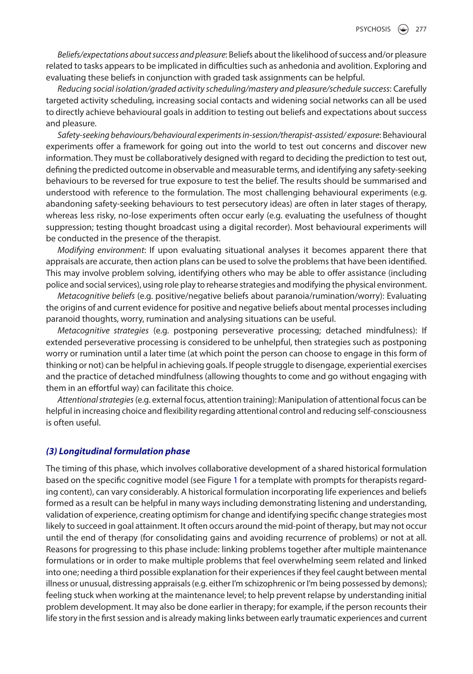*Beliefs/expectations about success and pleasure*: Beliefs about the likelihood of success and/or pleasure related to tasks appears to be implicated in difficulties such as anhedonia and avolition. Exploring and evaluating these beliefs in conjunction with graded task assignments can be helpful.

*Reducing social isolation/graded activity scheduling/mastery and pleasure/schedule success*: Carefully targeted activity scheduling, increasing social contacts and widening social networks can all be used to directly achieve behavioural goals in addition to testing out beliefs and expectations about success and pleasure.

*Safety*-*seeking behaviours/behavioural experiments in*-*session/therapist*-*assisted/ exposure*: Behavioural experiments offer a framework for going out into the world to test out concerns and discover new information. They must be collaboratively designed with regard to deciding the prediction to test out, defining the predicted outcome in observable and measurable terms, and identifying any safety-seeking behaviours to be reversed for true exposure to test the belief. The results should be summarised and understood with reference to the formulation. The most challenging behavioural experiments (e.g. abandoning safety-seeking behaviours to test persecutory ideas) are often in later stages of therapy, whereas less risky, no-lose experiments often occur early (e.g. evaluating the usefulness of thought suppression; testing thought broadcast using a digital recorder). Most behavioural experiments will be conducted in the presence of the therapist.

*Modifying environment*: If upon evaluating situational analyses it becomes apparent there that appraisals are accurate, then action plans can be used to solve the problems that have been identified. This may involve problem solving, identifying others who may be able to offer assistance (including police and social services), using role play to rehearse strategies and modifying the physical environment.

*Metacognitive beliefs* (e.g. positive/negative beliefs about paranoia/rumination/worry): Evaluating the origins of and current evidence for positive and negative beliefs about mental processes including paranoid thoughts, worry, rumination and analysing situations can be useful.

*Metacognitive strategies* (e.g. postponing perseverative processing; detached mindfulness): If extended perseverative processing is considered to be unhelpful, then strategies such as postponing worry or rumination until a later time (at which point the person can choose to engage in this form of thinking or not) can be helpful in achieving goals. If people struggle to disengage, experiential exercises and the practice of detached mindfulness (allowing thoughts to come and go without engaging with them in an effortful way) can facilitate this choice.

*Attentional strategies* (e.g. external focus, attention training): Manipulation of attentional focus can be helpful in increasing choice and flexibility regarding attentional control and reducing self-consciousness is often useful.

#### *(3) Longitudinal formulation phase*

The timing of this phase, which involves collaborative development of a shared historical formulation based on the specific cognitive model (see Figure [1](#page-4-0) for a template with prompts for therapists regarding content), can vary considerably. A historical formulation incorporating life experiences and beliefs formed as a result can be helpful in many ways including demonstrating listening and understanding, validation of experience, creating optimism for change and identifying specific change strategies most likely to succeed in goal attainment. It often occurs around the mid-point of therapy, but may not occur until the end of therapy (for consolidating gains and avoiding recurrence of problems) or not at all. Reasons for progressing to this phase include: linking problems together after multiple maintenance formulations or in order to make multiple problems that feel overwhelming seem related and linked into one; needing a third possible explanation for their experiences if they feel caught between mental illness or unusual, distressing appraisals (e.g. either I'm schizophrenic or I'm being possessed by demons); feeling stuck when working at the maintenance level; to help prevent relapse by understanding initial problem development. It may also be done earlier in therapy; for example, if the person recounts their life story in the first session and is already making links between early traumatic experiences and current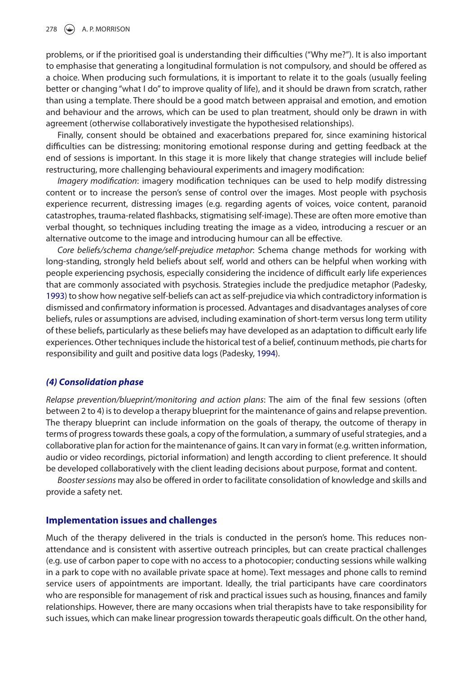problems, or if the prioritised goal is understanding their difficulties ("Why me?"). It is also important to emphasise that generating a longitudinal formulation is not compulsory, and should be offered as a choice. When producing such formulations, it is important to relate it to the goals (usually feeling better or changing "what I do" to improve quality of life), and it should be drawn from scratch, rather than using a template. There should be a good match between appraisal and emotion, and emotion and behaviour and the arrows, which can be used to plan treatment, should only be drawn in with agreement (otherwise collaboratively investigate the hypothesised relationships).

Finally, consent should be obtained and exacerbations prepared for, since examining historical difficulties can be distressing; monitoring emotional response during and getting feedback at the end of sessions is important. In this stage it is more likely that change strategies will include belief restructuring, more challenging behavioural experiments and imagery modification:

*Imagery modification*: imagery modification techniques can be used to help modify distressing content or to increase the person's sense of control over the images. Most people with psychosis experience recurrent, distressing images (e.g. regarding agents of voices, voice content, paranoid catastrophes, trauma-related flashbacks, stigmatising self-image). These are often more emotive than verbal thought, so techniques including treating the image as a video, introducing a rescuer or an alternative outcome to the image and introducing humour can all be effective.

<span id="page-8-0"></span>*Core beliefs/schema change/self*-*prejudice metaphor*: Schema change methods for working with long-standing, strongly held beliefs about self, world and others can be helpful when working with people experiencing psychosis, especially considering the incidence of difficult early life experiences that are commonly associated with psychosis. Strategies include the predjudice metaphor (Padesky, [1993](#page-11-8)) to show how negative self-beliefs can act as self-prejudice via which contradictory information is dismissed and confirmatory information is processed. Advantages and disadvantages analyses of core beliefs, rules or assumptions are advised, including examination of short-term versus long term utility of these beliefs, particularly as these beliefs may have developed as an adaptation to difficult early life experiences. Other techniques include the historical test of a belief, continuum methods, pie charts for responsibility and guilt and positive data logs (Padesky, [1994](#page-11-9)).

### <span id="page-8-1"></span>*(4) Consolidation phase*

*Relapse prevention/blueprint/monitoring and action plans*: The aim of the final few sessions (often between 2 to 4) is to develop a therapy blueprint for the maintenance of gains and relapse prevention. The therapy blueprint can include information on the goals of therapy, the outcome of therapy in terms of progress towards these goals, a copy of the formulation, a summary of useful strategies, and a collaborative plan for action for the maintenance of gains. It can vary in format (e.g. written information, audio or video recordings, pictorial information) and length according to client preference. It should be developed collaboratively with the client leading decisions about purpose, format and content.

*Booster sessions* may also be offered in order to facilitate consolidation of knowledge and skills and provide a safety net.

### **Implementation issues and challenges**

Much of the therapy delivered in the trials is conducted in the person's home. This reduces nonattendance and is consistent with assertive outreach principles, but can create practical challenges (e.g. use of carbon paper to cope with no access to a photocopier; conducting sessions while walking in a park to cope with no available private space at home). Text messages and phone calls to remind service users of appointments are important. Ideally, the trial participants have care coordinators who are responsible for management of risk and practical issues such as housing, finances and family relationships. However, there are many occasions when trial therapists have to take responsibility for such issues, which can make linear progression towards therapeutic goals difficult. On the other hand,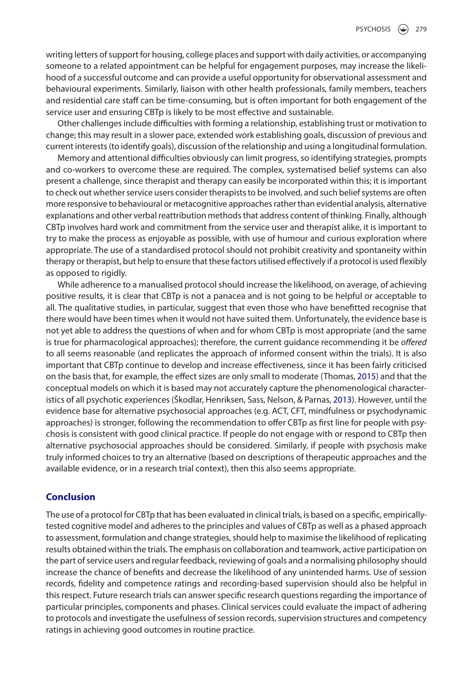writing letters of support for housing, college places and support with daily activities, or accompanying someone to a related appointment can be helpful for engagement purposes, may increase the likelihood of a successful outcome and can provide a useful opportunity for observational assessment and behavioural experiments. Similarly, liaison with other health professionals, family members, teachers and residential care staff can be time-consuming, but is often important for both engagement of the service user and ensuring CBTp is likely to be most effective and sustainable.

Other challenges include difficulties with forming a relationship, establishing trust or motivation to change; this may result in a slower pace, extended work establishing goals, discussion of previous and current interests (to identify goals), discussion of the relationship and using a longitudinal formulation.

Memory and attentional difficulties obviously can limit progress, so identifying strategies, prompts and co-workers to overcome these are required. The complex, systematised belief systems can also present a challenge, since therapist and therapy can easily be incorporated within this; it is important to check out whether service users consider therapists to be involved, and such belief systems are often more responsive to behavioural or metacognitive approaches rather than evidential analysis, alternative explanations and other verbal reattribution methods that address content of thinking. Finally, although CBTp involves hard work and commitment from the service user and therapist alike, it is important to try to make the process as enjoyable as possible, with use of humour and curious exploration where appropriate. The use of a standardised protocol should not prohibit creativity and spontaneity within therapy or therapist, but help to ensure that these factors utilised effectively if a protocol is used flexibly as opposed to rigidly.

<span id="page-9-1"></span>While adherence to a manualised protocol should increase the likelihood, on average, of achieving positive results, it is clear that CBTp is not a panacea and is not going to be helpful or acceptable to all. The qualitative studies, in particular, suggest that even those who have benefitted recognise that there would have been times when it would not have suited them. Unfortunately, the evidence base is not yet able to address the questions of when and for whom CBTp is most appropriate (and the same is true for pharmacological approaches); therefore, the current guidance recommending it be *offered* to all seems reasonable (and replicates the approach of informed consent within the trials). It is also important that CBTp continue to develop and increase effectiveness, since it has been fairly criticised on the basis that, for example, the effect sizes are only small to moderate (Thomas, [2015](#page-11-10)) and that the conceptual models on which it is based may not accurately capture the phenomenological characteristics of all psychotic experiences (Škodlar, Henriksen, Sass, Nelson, & Parnas, [2013](#page-11-11)). However, until the evidence base for alternative psychosocial approaches (e.g. ACT, CFT, mindfulness or psychodynamic approaches) is stronger, following the recommendation to offer CBTp as first line for people with psychosis is consistent with good clinical practice. If people do not engage with or respond to CBTp then alternative psychosocial approaches should be considered. Similarly, if people with psychosis make truly informed choices to try an alternative (based on descriptions of therapeutic approaches and the available evidence, or in a research trial context), then this also seems appropriate.

## <span id="page-9-0"></span>**Conclusion**

The use of a protocol for CBTp that has been evaluated in clinical trials, is based on a specific, empiricallytested cognitive model and adheres to the principles and values of CBTp as well as a phased approach to assessment, formulation and change strategies, should help to maximise the likelihood of replicating results obtained within the trials. The emphasis on collaboration and teamwork, active participation on the part of service users and regular feedback, reviewing of goals and a normalising philosophy should increase the chance of benefits and decrease the likelihood of any unintended harms. Use of session records, fidelity and competence ratings and recording-based supervision should also be helpful in this respect. Future research trials can answer specific research questions regarding the importance of particular principles, components and phases. Clinical services could evaluate the impact of adhering to protocols and investigate the usefulness of session records, supervision structures and competency ratings in achieving good outcomes in routine practice.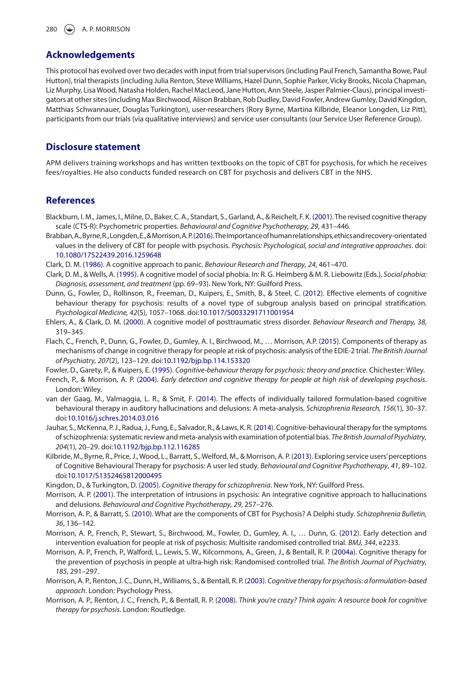#### **Acknowledgements**

This protocol has evolved over two decades with input from trial supervisors (including Paul French, Samantha Bowe, Paul Hutton), trial therapists (including Julia Renton, Steve Williams, Hazel Dunn, Sophie Parker, Vicky Brooks, Nicola Chapman, Liz Murphy, Lisa Wood, Natasha Holden, Rachel MacLeod, Jane Hutton, Ann Steele, Jasper Palmier-Claus), principal investigators at other sites (including Max Birchwood, Alison Brabban, Rob Dudley, David Fowler, Andrew Gumley, David Kingdon, Matthias Schwannauer, Douglas Turkington), user-researchers (Rory Byrne, Martina Kilbride, Eleanor Longden, Liz Pitt), participants from our trials (via qualitative interviews) and service user consultants (our Service User Reference Group).

#### **Disclosure statement**

APM delivers training workshops and has written textbooks on the topic of CBT for psychosis, for which he receives fees/royalties. He also conducts funded research on CBT for psychosis and delivers CBT in the NHS.

#### **References**

- <span id="page-10-2"></span>Blackburn, I. M., James, I., Milne, D., Baker, C. A., Standart, S., Garland, A., & Reichelt, F. K. [\(2001](#page-1-2)). The revised cognitive therapy scale (CTS-R): Psychometric properties. *Behavioural and Cognitive Psychotherapy, 29*, 431–446.
- <span id="page-10-18"></span>Brabban, A., Byrne, R., Longden, E., & Morrison, A. P. ([2016\)](#page-3-0). The importance of human relationships, ethics and recovery-orientated values in the delivery of CBT for people with psychosis. *Psychosis: Psychological, social and integrative approaches*. doi[:](https://doi.org/10.1080/17522439.2016.1259648)  [10.1080/17522439.2016.1259648](https://doi.org/10.1080/17522439.2016.1259648)
- <span id="page-10-15"></span>Clark, D. M. ([1986](#page-3-1)). A cognitive approach to panic. *Behaviour Research and Therapy, 24*, 461–470.
- <span id="page-10-16"></span>Clark, D. M., & Wells, A. ([1995](#page-3-2)). A cognitive model of social phobia. In: R. G. Heimberg & M. R. Liebowitz (Eds.), *Social phobia: Diagnosis, assessment, and treatment* (pp. 69–93). New York, NY: Guilford Press.
- <span id="page-10-6"></span>Dunn, G., Fowler, D., Rollinson, R., Freeman, D., Kuipers, E., Smith, B., & Steel, C. [\(2012\)](#page-2-0). Effective elements of cognitive behaviour therapy for psychosis: results of a novel type of subgroup analysis based on principal stratification. *Psychological Medicine, 42*(5), 1057–1068. doi:[10.1017/S0033291711001954](https://doi.org/10.1017/S0033291711001954)
- <span id="page-10-17"></span>Ehlers, A., & Clark, D. M. ([2000](#page-3-3)). A cognitive model of posttraumatic stress disorder. *Behaviour Research and Therapy, 38*, 319–345.
- <span id="page-10-5"></span>Flach, C., French, P., Dunn, G., Fowler, D., Gumley, A. I., Birchwood, M., … Morrison, A.P. ([2015](#page-2-1)). Components of therapy as mechanisms of change in cognitive therapy for people at risk of psychosis: analysis of the EDIE-2 trial. *The British Journal of Psychiatry, 207*(2), 123–129. doi[:10.1192/bjp.bp.114.153320](https://doi.org/10.1192/bjp.bp.114.153320)

<span id="page-10-13"></span>Fowler, D., Garety, P., & Kuipers, E. ([1995](#page-3-4)). *Cognitive-behaviour therapy for psychosis: theory and practice*. Chichester: Wiley.

- <span id="page-10-10"></span>French, P., & Morrison, A. P. [\(2004](#page-3-5)). *Early detection and cognitive therapy for people at high risk of developing psychosis*. London: Wiley.
- <span id="page-10-1"></span>van der Gaag, M., Valmaggia, L. R., & Smit, F. ([2014](#page-1-3)). The effects of individually tailored formulation-based cognitive behavioural therapy in auditory hallucinations and delusions: A meta-analysis. *Schizophrenia Research, 156*(1), 30–37. doi[:10.1016/j.schres.2014.03.016](https://doi.org/10.1016/j.schres.2014.03.016)
- <span id="page-10-0"></span>Jauhar, S., McKenna, P. J., Radua, J., Fung, E., Salvador, R., & Laws, K. R. ([2014\)](#page-1-4). Cognitive-behavioural therapy for the symptoms of schizophrenia: systematic review and meta-analysis with examination of potential bias. *The British Journal of Psychiatry, 204*(1), 20–29. doi[:10.1192/bjp.bp.112.116285](https://doi.org/10.1192/bjp.bp.112.116285)
- <span id="page-10-4"></span>Kilbride, M., Byrne, R., Price, J., Wood, L., Barratt, S., Welford, M., & Morrison, A. P. [\(2013\)](#page-2-2). Exploring service users' perceptions of Cognitive Behavioural Therapy for psychosis: A user led study. *Behavioural and Cognitive Psychotherapy*, *41*, 89–102. doi[:10.1017/S1352465812000495](https://doi.org/10.1017/S1352465812000495)
- <span id="page-10-14"></span>Kingdon, D., & Turkington, D. ([2005](#page-3-6)). *Cognitive therapy for schizophrenia*. New York, NY: Guilford Press.
- <span id="page-10-9"></span>Morrison, A. P. ([2001](#page-2-3)). The interpretation of intrusions in psychosis: An integrative cognitive approach to hallucinations and delusions. *Behavioural and Cognitive Psychotherapy, 29*, 257–276.
- <span id="page-10-3"></span>Morrison, A. P., & Barratt, S. ([2010](#page-1-5)). What are the components of CBT for Psychosis? A Delphi study. *Schizophrenia Bulletin, 36*, 136–142.
- <span id="page-10-8"></span>Morrison, A. P., French, P., Stewart, S., Birchwood, M., Fowler, D., Gumley, A. I., … Dunn, G. [\(2012\)](#page-2-4). Early detection and intervention evaluation for people at risk of psychosis: Multisite randomised controlled trial. *BMJ, 344*, e2233.
- <span id="page-10-7"></span>Morrison, A. P., French, P., Walford, L., Lewis, S. W., Kilcommons, A., Green, J., & Bentall, R. P. [\(2004a\)](#page-2-5). Cognitive therapy for the prevention of psychosis in people at ultra-high risk: Randomised controlled trial. *The British Journal of Psychiatry, 185*, 291–297.
- <span id="page-10-11"></span>Morrison, A. P., Renton, J. C., Dunn, H., Williams, S., & Bentall, R. P. ([2003](#page-3-7)). *Cognitive therapy for psychosis: a formulation-based approach*. London: Psychology Press.
- <span id="page-10-12"></span>Morrison, A. P., Renton, J. C., French, P., & Bentall, R. P. [\(2008](#page-3-8)). *Think you're crazy? Think again: A resource book for cognitive therapy for psychosis*. London: Routledge.